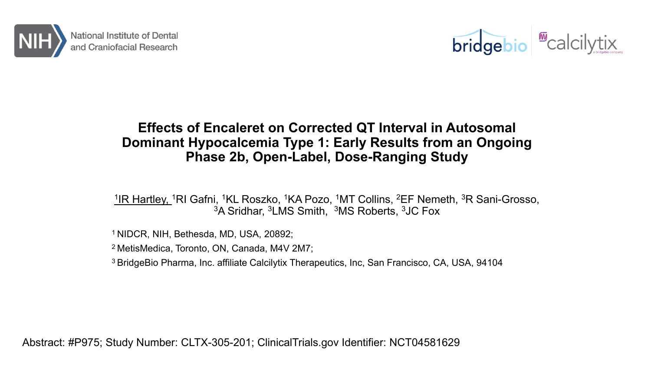



#### **Effects of Encaleret on Corrected QT Interval in Autosomal Dominant Hypocalcemia Type 1: Early Results from an Ongoing Phase 2b, Open-Label, Dose-Ranging Study**

<sup>1</sup>IR Hartley, <sup>1</sup>RI Gafni, <sup>1</sup>KL Roszko, <sup>1</sup>KA Pozo, <sup>1</sup>MT Collins, <sup>2</sup>EF Nemeth, <sup>3</sup>R Sani-Grosso, 3A Sridhar, 3LMS Smith, 3MS Roberts, 3JC Fox

1 NIDCR, NIH, Bethesda, MD, USA, 20892;

2 MetisMedica, Toronto, ON, Canada, M4V 2M7;

3 BridgeBio Pharma, Inc. affiliate Calcilytix Therapeutics, Inc, San Francisco, CA, USA, 94104

Abstract: #P975; Study Number: CLTX-305-201; ClinicalTrials.gov Identifier: NCT04581629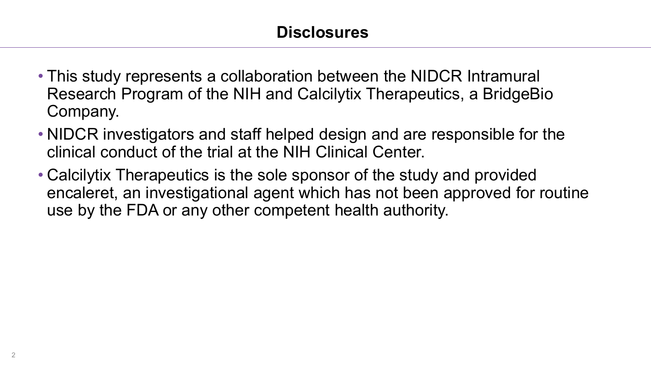- This study represents a collaboration between the NIDCR Intramural Research Program of the NIH and Calcilytix Therapeutics, a BridgeBio Company.
- NIDCR investigators and staff helped design and are responsible for the clinical conduct of the trial at the NIH Clinical Center.
- Calcilytix Therapeutics is the sole sponsor of the study and provided encaleret, an investigational agent which has not been approved for routine use by the FDA or any other competent health authority.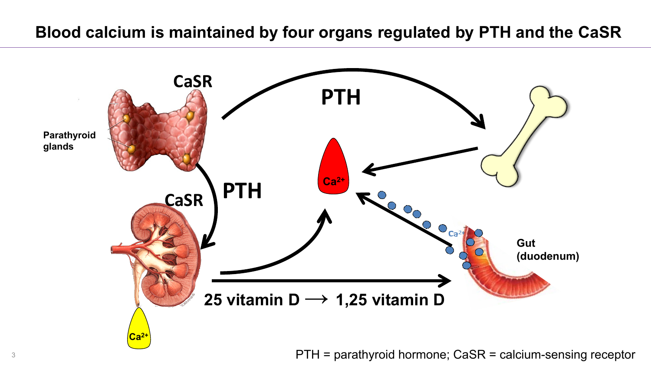#### **Blood calcium is maintained by four organs regulated by PTH and the CaSR**



<sup>3</sup> PTH = parathyroid hormone; CaSR = calcium-sensing receptor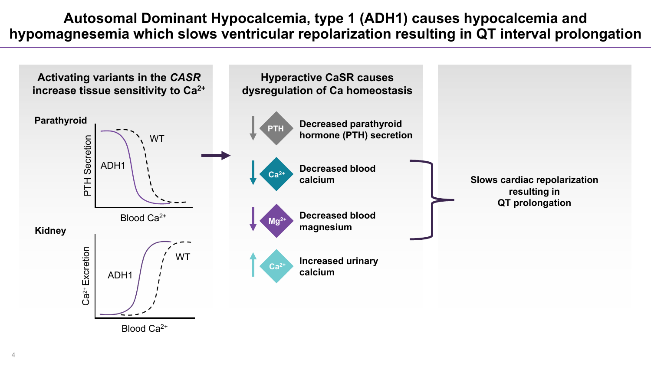**Autosomal Dominant Hypocalcemia, type 1 (ADH1) causes hypocalcemia and hypomagnesemia which slows ventricular repolarization resulting in QT interval prolongation**

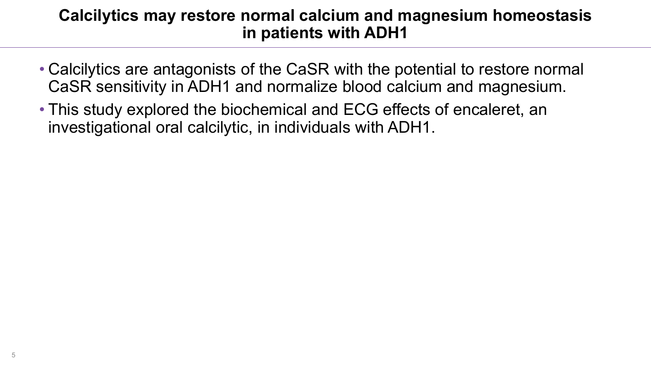#### **Calcilytics may restore normal calcium and magnesium homeostasis in patients with ADH1**

- Calcilytics are antagonists of the CaSR with the potential to restore normal CaSR sensitivity in ADH1 and normalize blood calcium and magnesium.
- This study explored the biochemical and ECG effects of encaleret, an investigational oral calcilytic, in individuals with ADH1.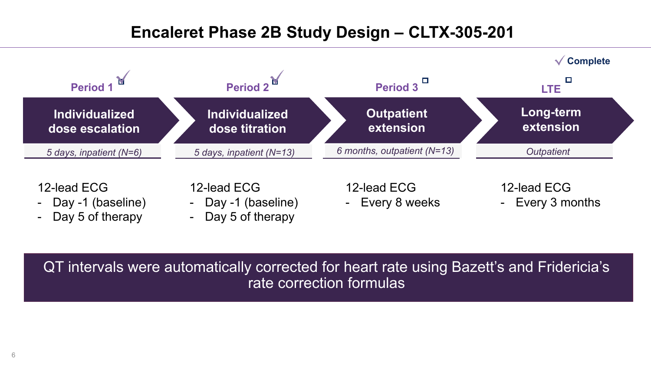# **Encaleret Phase 2B Study Design – CLTX-305-201**



12-lead ECG

- Day -1 (baseline)
- Day 5 of therapy

12-lead ECG

- Day -1 (baseline)
- Day 5 of therapy

12-lead ECG

- Every 8 weeks

12-lead ECG

- Every 3 months

QT intervals were automatically corrected for heart rate using Bazett's and Fridericia's rate correction formulas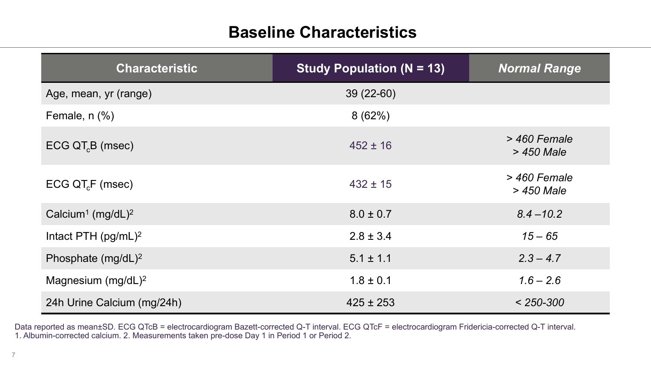## **Baseline Characteristics**

| <b>Characteristic</b>                     | <b>Study Population (N = 13)</b> | <b>Normal Range</b>          |
|-------------------------------------------|----------------------------------|------------------------------|
| Age, mean, yr (range)                     | $39(22-60)$                      |                              |
| Female, $n$ $%$ )                         | 8(62%)                           |                              |
| $ECG$ QT $_B$ (msec)                      | $452 \pm 16$                     | > 460 Female<br>> 450 Male   |
| ECG QT <sub>c</sub> F (msec)              | $432 \pm 15$                     | $>$ 460 Female<br>> 450 Male |
| Calcium <sup>1</sup> (mg/dL) <sup>2</sup> | $8.0 \pm 0.7$                    | $8.4 - 10.2$                 |
| Intact PTH $(pg/mL)^2$                    | $2.8 \pm 3.4$                    | $15 - 65$                    |
| Phosphate $(mg/dL)^2$                     | $5.1 \pm 1.1$                    | $2.3 - 4.7$                  |
| Magnesium $(mg/dL)^2$                     | $1.8 \pm 0.1$                    | $1.6 - 2.6$                  |
| 24h Urine Calcium (mg/24h)                | $425 \pm 253$                    | $< 250 - 300$                |

Data reported as mean±SD. ECG QTcB = electrocardiogram Bazett-corrected Q-T interval. ECG QTcF = electrocardiogram Fridericia-corrected Q-T interval. 1. Albumin-corrected calcium. 2. Measurements taken pre-dose Day 1 in Period 1 or Period 2.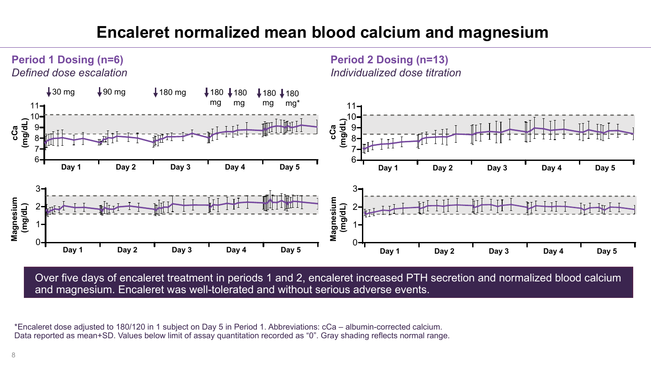# **Encaleret normalized mean blood calcium and magnesium**



Over five days of encaleret treatment in periods 1 and 2, encaleret increased PTH secretion and normalized blood calcium and magnesium. Encaleret was well-tolerated and without serious adverse events.

\*Encaleret dose adjusted to 180/120 in 1 subject on Day 5 in Period 1. Abbreviations: cCa – albumin-corrected calcium. Data reported as mean+SD. Values below limit of assay quantitation recorded as "0". Gray shading reflects normal range.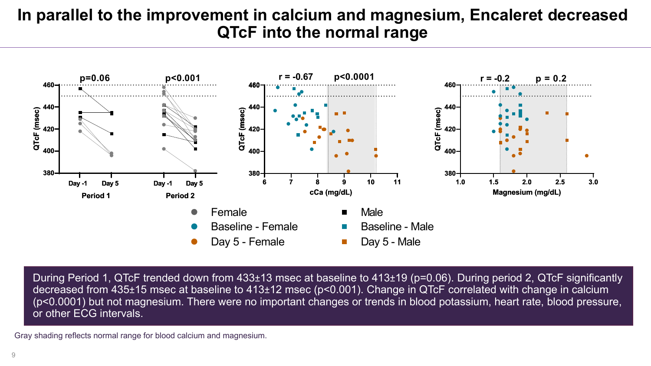### **In parallel to the improvement in calcium and magnesium, Encaleret decreased QTcF into the normal range**



During Period 1, QTcF trended down from 433±13 msec at baseline to 413±19 (p=0.06). During period 2, QTcF significantly decreased from 435±15 msec at baseline to 413±12 msec (p<0.001). Change in QTcF correlated with change in calcium (p<0.0001) but not magnesium. There were no important changes or trends in blood potassium, heart rate, blood pressure, or other ECG intervals.

Gray shading reflects normal range for blood calcium and magnesium.